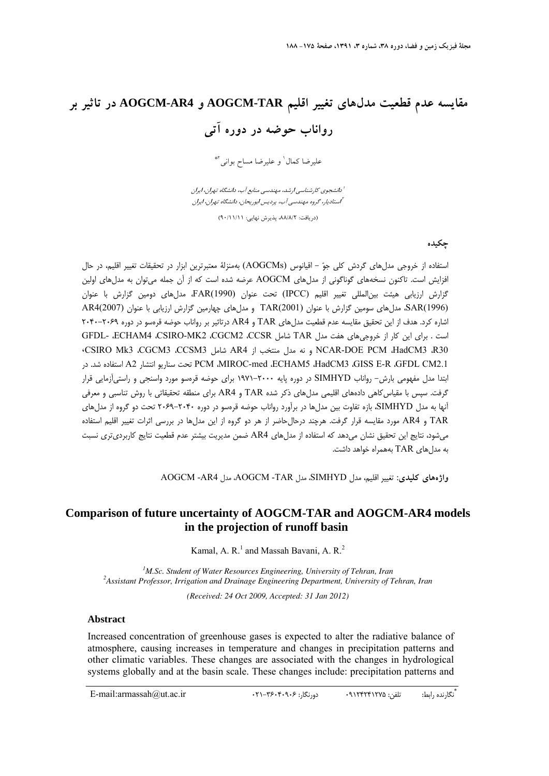# **مقايسه عدم قطعيت مدلهاي تغيير اقليم TAR-AOGCM و 4AR-AOGCM در تاثير بر رواناب حوضه در دوره آتي**

عليرضا كمال' و عليرضا مساح بواني <sup>4</sup>\*

دانشجوي كارشناسي ارشد، مهندسي منابع آب، دانشگاه تهران، ايران <sup>1</sup> استاديار، گروه مهندسي آب، پرديس ابوريحان، دانشگاه تهران، ايران <sup>2</sup>

(دريافت: ۸۸/۸/۲، پذيرش نهايي: ۹۰/۱۱/۱۱)

**چكيده** 

استفاده از خروجي مدلهاي گردش كلي جو - اقيانوس (AOGCMs (بهمنزلة معتبرترين ابزار در تحقيقات تغيير اقليم، در حال افزايش است. تاكنون نسخههاي گوناگوني از مدلهاي AOGCM عرضه شده است كه از آن جمله ميتوان به مدلهاي اولين گزارش ارزيابي هيئت بينالمللي تغيير اقليم (IPCC (تحت عنوان (1990)FAR، مدلهاي دومين گزارش با عنوان (1996)SAR، مدلهاي سومين گزارش با عنوان (2001)TAR و مدلهاي چهارمين گزارش ارزيابي با عنوان (2007)4AR اشاره كرد. هدف از اين تحقيق مقايسه عدم قطعيت مدلهاي TAR و 4AR درتاثير بر رواناب حوضه قرهسو در دوره 2040-2069 است . براي اين كار از خروجي هاي هفت مدل TAR شامل GFDL- ،ECHAM4 ،CSIRO-MK2 ،CGCM2 ،CCSR ،CSIRO Mk3 ،CGCM3 ،CCSM3 شامل AR4 از منتخب مدل نه و NCAR-DOE PCM ،HadCM3 ،R30 در .شد استفاده A2 انتشار سناريو تحت PCM ،MIROC-med ،ECHAM5 ،HadCM3 ،GISS E-R ،GFDL CM2.1 ابتدا مدل مفهومي بارش- رواناب SIMHYD در دوره پايه 1971-2000 براي حوضه قرهسو مورد واسنجي و راستيآزمايي قرار گرفت. سپس با مقياسكاهي دادههاي اقليمي مدلهاي ذكر شده TAR و 4AR براي منطقه تحقيقاتي با روش تناسبي و معرفي آنها به مدل SIMHYD، بازه تفاوت بين مدلها در برآورد رواناب حوضه قرهسو در دوره 2069-2040 تحت دو گروه از مدلهاي TAR و AR4 مورد مقايسه قرار گرفت. هرچند درحال حاضر از هر دو گروه از اين مدل ها در بررسي اثرات تغيير اقليم استفاده ميشود، نتايج اين تحقيق نشان ميدهد كه استفاده از مدلهاي 4AR ضمن مديريت بيشتر عدم قطعيت نتايج كاربرديتري نسبت به مدل های TAR بههمراه خواهد داشت.

**واژههاي كليدي:** تغيير اقليم، مدل SIMHYD، مدل TAR- AOGCM، مدل 4AR- AOGCM

# **Comparison of future uncertainty of AOGCM-TAR and AOGCM-AR4 models in the projection of runoff basin**

Kamal, A. R.<sup>1</sup> and Massah Bavani, A. R.<sup>2</sup>

<sup>1</sup> *M.Sc. Student of Water Resources Engineering, University of Tehran, Iran*<br><sup>2</sup> *Assistant Professor, Irringtion and Drainage Engineering Department University of 3 Assistant Professor, Irrigation and Drainage Engineering Department, University of Tehran, Iran (Received: 24 Oct 2009, Accepted: 31 Jan 2012)* 

#### **Abstract**

Increased concentration of greenhouse gases is expected to alter the radiative balance of atmosphere, causing increases in temperature and changes in precipitation patterns and other climatic variables. These changes are associated with the changes in hydrological systems globally and at the basin scale. These changes include: precipitation patterns and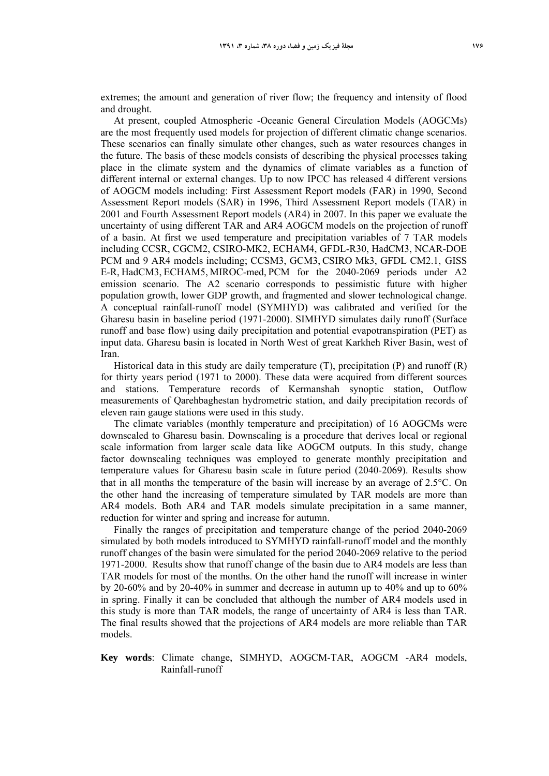extremes; the amount and generation of river flow; the frequency and intensity of flood and drought.

At present, coupled Atmospheric -Oceanic General Circulation Models (AOGCMs) are the most frequently used models for projection of different climatic change scenarios. These scenarios can finally simulate other changes, such as water resources changes in the future. The basis of these models consists of describing the physical processes taking place in the climate system and the dynamics of climate variables as a function of different internal or external changes. Up to now IPCC has released 4 different versions of AOGCM models including: First Assessment Report models (FAR) in 1990, Second Assessment Report models (SAR) in 1996, Third Assessment Report models (TAR) in 2001 and Fourth Assessment Report models (AR4) in 2007. In this paper we evaluate the uncertainty of using different TAR and AR4 AOGCM models on the projection of runoff of a basin. At first we used temperature and precipitation variables of 7 TAR models including CCSR, CGCM2, CSIRO-MK2, ECHAM4, GFDL-R30, HadCM3, NCAR-DOE PCM and 9 AR4 models including; CCSM3, GCM3, CSIRO Mk3, GFDL CM2.1, GISS E-R, HadCM3, ECHAM5, MIROC-med, PCM for the 2040-2069 periods under A2 emission scenario. The A2 scenario corresponds to pessimistic future with higher population growth, lower GDP growth, and fragmented and slower technological change. A conceptual rainfall-runoff model (SYMHYD) was calibrated and verified for the Gharesu basin in baseline period (1971-2000). SIMHYD simulates daily runoff (Surface runoff and base flow) using daily precipitation and potential evapotranspiration (PET) as input data. Gharesu basin is located in North West of great Karkheh River Basin, west of Iran.

Historical data in this study are daily temperature  $(T)$ , precipitation  $(P)$  and runoff  $(R)$ for thirty years period (1971 to 2000). These data were acquired from different sources and stations. Temperature records of Kermanshah synoptic station, Outflow measurements of Qarehbaghestan hydrometric station, and daily precipitation records of eleven rain gauge stations were used in this study.

The climate variables (monthly temperature and precipitation) of 16 AOGCMs were downscaled to Gharesu basin. Downscaling is a procedure that derives local or regional scale information from larger scale data like AOGCM outputs. In this study, change factor downscaling techniques was employed to generate monthly precipitation and temperature values for Gharesu basin scale in future period (2040-2069). Results show that in all months the temperature of the basin will increase by an average of  $2.5^{\circ}$ C. On the other hand the increasing of temperature simulated by TAR models are more than AR4 models. Both AR4 and TAR models simulate precipitation in a same manner, reduction for winter and spring and increase for autumn.

Finally the ranges of precipitation and temperature change of the period 2040-2069 simulated by both models introduced to SYMHYD rainfall-runoff model and the monthly runoff changes of the basin were simulated for the period 2040-2069 relative to the period 1971-2000. Results show that runoff change of the basin due to AR4 models are less than TAR models for most of the months. On the other hand the runoff will increase in winter by 20-60% and by 20-40% in summer and decrease in autumn up to 40% and up to 60% in spring. Finally it can be concluded that although the number of AR4 models used in this study is more than TAR models, the range of uncertainty of AR4 is less than TAR. The final results showed that the projections of AR4 models are more reliable than TAR models.

#### **Key words**: Climate change, SIMHYD, AOGCM-TAR, AOGCM -AR4 models, Rainfall-runoff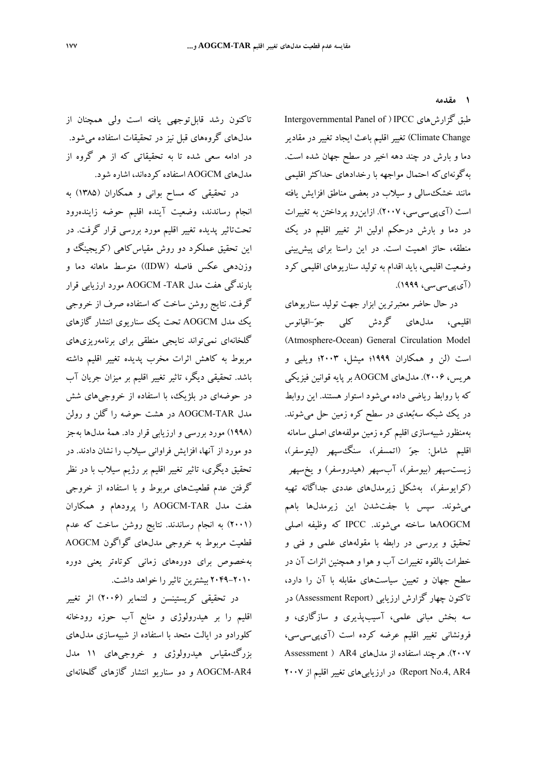**1 مقدمه** 

Intergovernmental Panel of ) IPCC گزارشهاي طبق Change Climate (تغيير اقليم باعث ايجاد تغيير در مقادير دما و بارش در چند دهه اخير در سطح جهان شده است. بهگونهايكه احتمال مواجهه با رخدادهاي حداكثر اقليمي مانند خشكسالي و سيلاب در بعضي مناطق افزايش يافته است (آيپيسيسي، 2007). ازاينرو پرداختن به تغييرات در دما و بارش درحكم اولين اثر تغيير اقليم در يك منطقه، حائز اهميت است. در اين راستا براي پيشبيني وضعيت اقليمي، بايد اقدام به توليد سناريوهاي اقليمي كرد (آيپيسيسي، 1999).

در حال حاضر معتبرترين ابزار جهت توليد سناريوهاي اقليمي، مدلهاي گردش كلي جو-اقيانوس (Atmosphere-Ocean) General Circulation Model است (لن و همكاران 1999؛ ميشل، 2003؛ ويلبي و هريس، 2006). مدلهاي AOGCM بر پايه قوانين فيزيكي كه با روابط رياضي داده ميشود استوار هستند. اين روابط در يك شبكه سهبُعدى در سطح كره زمين حل مىشوند. بهمنظور شبيهسازي اقليم كره زمين مولفههاي اصلي سامانه اقليم شامل: جو) اتمسفر)، سنگسپهر (ليتوسفر)، زيستسپهر (بيوسفر)، آبسپهر (هيدروسفر) و يخسپهر (كرايوسفر)، بهشكل زيرمدلهاي عددي جداگانه تهيه ميشوند. سپس با جفتشدن اين زيرمدلها باهم AOGCMها ساخته ميشوند. IPCC كه وظيفه اصلي تحقيق و بررسي در رابطه با مقولههاي علمي و فني و خطرات بالقوه تغييرات آب و هوا و همچنين اثرات آن در سطح جهان و تعيين سياستهاي مقابله با آن را دارد، تاكنون چهار گزارش ارزيابي (Assessment Report) در سه بخش مباني علمي، آسيبپذيري و سازگاري، و فرونشاني تغيير اقليم عرضه كرده است (آيپيسيسي، 2007). هرچند استفاده از مدلهاي 4AR ) Assessment 4AR4) در ارزيابي هاي تغيير اقليم از ٢٠٠٧

تاكنون رشد قابلتوجهي يافته است ولي همچنان از مدلهاي گروههاي قبل نيز در تحقيقات استفاده ميشود. در ادامه سعي شده تا به تحقيقاتي كه از هر گروه از مدلهاي AOGCM استفاده كردهاند، اشاره شود.

در تحقيقي كه مساح بواني و همكاران (1385) به انجام رساندند، وضعيت آينده اقليم حوضه زايندهرود تحتتاثير پديده تغيير اقليم مورد بررسي قرار گرفت. در اين تحقيق عملكرد دو روش مقياسكاهي (كريجينگ و وزندهي عكس فاصله (IDW ((متوسط ماهانه دما و بارندگي هفت مدل TAR- AOGCM مورد ارزيابي قرار گرفت. نتايج روشن ساخت كه استفاده صرف از خروجي يك مدل AOGCM تحت يك سناريوي انتشار گازهاي گلخانهاي نميتواند نتايجي منطقي براي برنامهريزيهاي مربوط به كاهش اثرات مخرب پديده تغيير اقليم داشته باشد. تحقيقي ديگر، تاثير تغيير اقليم بر ميزان جريان آب در حوضهاي در بلژيك، با استفاده از خروجيهاي شش مدل TAR-AOGCM در هشت حوضه را گلن و رولن (1998) مورد بررسي و ارزيابي قرار داد. همة مدلها بهجز دو مورد از آنها، افزايش فراواني سيلاب را نشان دادند. در تحقيق ديگري، تاثير تغيير اقليم بر رژيم سيلاب با در نظر گرفتن عدم قطعيتهاي مربوط و با استفاده از خروجي هفت مدل TAR-AOGCM را پرودهام و همكاران (2001) به انجام رساندند. نتايج روشن ساخت كه عدم قطعيت مربوط به خروجي مدلهاي گواگون AOGCM بهخصوص براي دورههاي زماني كوتاهتر يعني دوره 2049-2010 بيشترين تاثيررا خواهد داشت.

در تحقيقي كريستينسن و لتنماير (2006) اثر تغيير اقليم را بر هيدرولوژي و منابع آب حوزه رودخانه كلورادو در ايالت متحد با استفاده از شبيهسازي مدلهاي بزرگمقياس هيدرولوژي و خروجيهاي 11 مدل 4AR-AOGCM و دو سناريو انتشار گازهاي گلخانهاي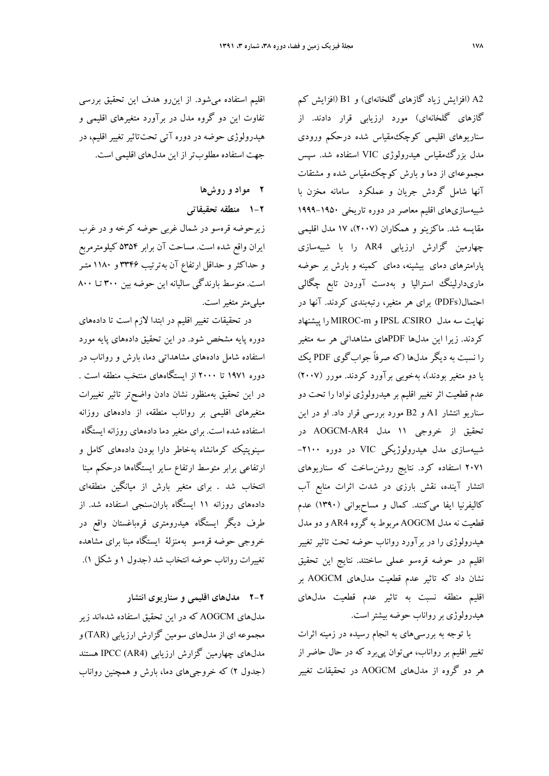اقليم استفاده ميشود. از اينرو هدف اين تحقيق بررسي تفاوت اين دو گروه مدل در برآورد متغيرهاي اقليمي و هيدرولوژي حوضه در دوره آتي تحتتاثير تغيير اقليم، در جهت استفاده مطلوبتر از اين مدلهاي اقليمي است.

- **2 مواد و روشها**
- **1-2 منطقه تحقيقاتي**

زيرحوضه قرهسو در شمال غربي حوضه كرخه و در غرب ايران واقع شده است. مساحت آن برابر 5354 كيلومترمربع و حداكثر و حداقل ارتفاع آن به ترتيب 3346 و 1180 متـر است. متوسط بارندگي ساليانه اين حوضه بين 300 تـا 800 ميلي متر متغير است.

در تحقيقات تغيير اقليم در ابتدا لازم است تا دادههاي دوره پايه مشخص شود. در اين تحقيق دادههاي پايه مورد استفاده شامل دادههاي مشاهداتي دما، بارش و رواناب در دوره 1971 تا 2000 از ايستگاههاي منتخب منطقه است . در اين تحقيق بهمنظور نشان دادن واضحتر تاثير تغييرات متغيرهاي اقليمي بر رواناب منطقه، از دادههاي روزانه استفاده شده است. براي متغير دما دادههاي روزانه ايستگاه سينوپتيك كرمانشاه بهخاطر دارا بودن دادههاي كامل و ارتفاعي برابر متوسط ارتفاع ساير ايستگاهها درحكم مبنا انتخاب شد . براي متغير بارش از ميانگين منطقهاي دادههاي روزانه 11 ايستگاه بارانسنجي استفاده شد. از طرف ديگر ايستگاه هيدرومتري قرهباغستان واقع در خروجي حوضه قرهسو بهمنزلة ايستگاه مبنا براي مشاهده تغييرات رواناب حوضه انتخاب شد (جدول 1 و شكل 1).

**2-2 مدلهاي اقليمي و سناريوي انتشار** مدلهاي AOGCM كه در اين تحقيق استفاده شدهاند زير مجموعه اي از مدلهاي سومين گزارش ارزيابي (TAR(و مدلهاي چهارمين گزارش ارزيابي (4AR (IPCC هستند (جدول 2) كه خروجيهاي دما، بارش و همچنين رواناب

2A) افزايش زياد گازهاي گلخانهاي) و 1B) افزايش كم گازهاي گلخانهاي) مورد ارزيابي قرار دادند. از سناريوهاي اقليمي كوچكمقياس شده درحكم ورودي مدل بزرگمقياس هيدرولوژي VIC استفاده شد. سپس مجموعهاي از دما و بارش كوچكمقياس شده و مشتقات آنها شامل گردش جريان و عملكرد سامانه مخزن با شبيهسازيهاي اقليم معاصر در دوره تاريخي 1999-1950 مقايسه شد. ماكزينو و همكاران (2007)، 17 مدل اقليمي چهارمين گزارش ارزيابي 4AR را با شبيهسازي پارامترهاي دماي بيشينه، دماي كمينه و بارش بر حوضه ماريدارلينگ استراليا و بهدست آوردن تابع چگالي احتمال(PDFs (براي هر متغير، رتبهبندي كردند. آنها در نهايت سه مدل CSIRO، IPSL و m-MIROC را پيشنهاد كردند. زيرا اين مدلها PDFهاي مشاهداتي هر سه متغير را نسبت به ديگر مدلها (كه صرفاً جوابگوي PDF يك يا دو متغير بودند)، بهخوبي برآورد كردند. مورر (2007) عدم قطعيت اثر تغيير اقليم بر هيدرولوژي نوادا را تحت دو سناريو انتشار 1A و 2B مورد بررسي قرار داد. او در اين تحقيق از خروجي 11 مدل 4AR-AOGCM در شبيهسازي مدل هيدرولوژيكي VIC در دوره -2100 2071 استفاده كرد. نتايج روشنساخت كه سناريوهاي انتشار آينده، نقش بارزي در شدت اثرات منابع آب كاليفرنيا ايفا ميكنند. كمال و مساحبواني (1390) عدم قطعيت نه مدل AOGCM مربوط به گروه 4AR و دو مدل هيدرولوژي را در برآورد رواناب حوضه تحت تاثير تغيير اقليم در حوضه قرهسو عملي ساختند. نتايج اين تحقيق نشان داد كه تاثير عدم قطعيت مدلهاي AOGCM بر اقليم منطقه نسبت به تاثير عدم قطعيت مدلهاي هيدرولوژي بررواناب حوضه بيشتراست.

با توجه به بررسيهاي به انجام رسيده در زمينه اثرات تغيير اقليم بر رواناب، ميتوان پيبرد كه در حال حاضر از هر دو گروه از مدلهاي AOGCM در تحقيقات تغيير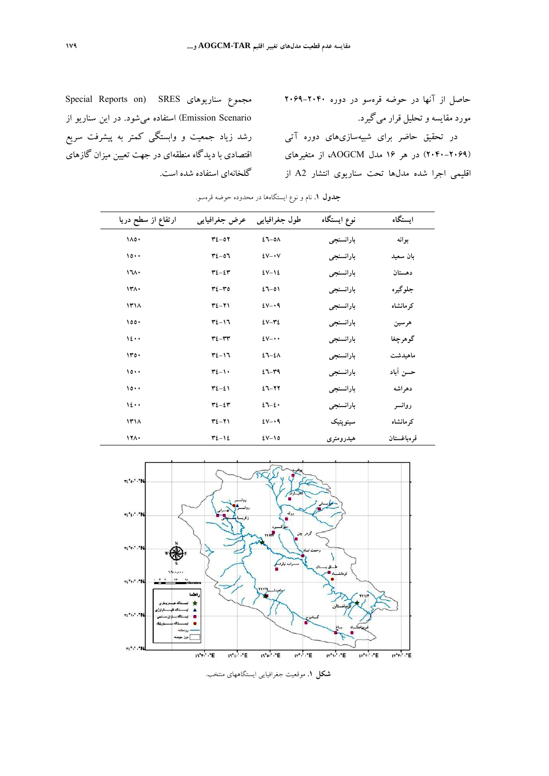حاصل از آنها در حوضه قرهسو در دوره 2069-2040 مورد مقايسه وتحليل قرار ميگيرد. در تحقيق حاضر براي شبيه سازيهاي دوره آتي (2040-2069) در هر 16 مدل AOGCM، از متغيرهاي

اقليمي اجرا شده مدلها تحت سناريوي انتشار 2A از

Special Reports on) SRES سناريوهاي مجموع Scenario Emission (استفاده ميشود. در اين سناريو از رشد زياد جمعيت و وابستگي كمتر به پيشرفت سريع اقتصادي با ديدگاه منطقهاي در جهت تعيين ميزان گازهاي گلخانهاي استفاده شده است.

| ارتفاع از سطح دریا    | عرض جغرافيايي         | طول جغرافیایی | نوع ايستگاه | استگاه      |
|-----------------------|-----------------------|---------------|-------------|-------------|
| $\lambda \circ \cdot$ | $T2-07$               | $27 - 0A$     | بارانسنجي   | بوانه       |
| $\cdots$              | $72 - 07$             | $2V - V$      | بارانسنجي   | بان سعید    |
| 171.                  | $72 - 27$             | $2V-12$       | بارانسنجي   | دهستان      |
| ۱۳۸.                  | $r_{\xi-\mathbf{r}0}$ | $27 - 01$     | بارانسنجي   | جلوگيره     |
| ۱۳۱۸                  | $Y\Sigma-Y$           | $2V - 9$      | بارانسنجي   | کر مانشاه   |
| $\lambda$             | $T2-17$               | $2V - Y$      | بارانسنجي   | هرسين       |
| 12                    | $T2 - TT$             | $2V - \cdot$  | بارانسنجي   | گوهرچغا     |
| 100.                  | $T2-17$               | $27 - 24$     | بارانسنجي   | ماهيدشت     |
| $\cdots$              | $r_{\ell-1}$ .        | $27 - 49$     | بارانسنجي   | حسن آباد    |
| $\cdots$              | $72 - 21$             | $27 - 77$     | بارانسنجي   | دهر اشه     |
| 12                    | $r_{\xi-\xi}r$        | $27 - 2$      | بارانسنجي   | روانسر      |
| 171A                  | $T2 - T1$             | $2V - 9$      | سينوپتيک    | کر مانشاه   |
| 171.                  | $72 - 12$             | $2V - 10$     | هيدرومتري   | قر ەباغستان |

**جدول .1** نام و نوع ايستگاهها در محدوده حوضه قرهسو.



**شكل .1** موقعيت جغرافيايي ايستگاههاي منتخب.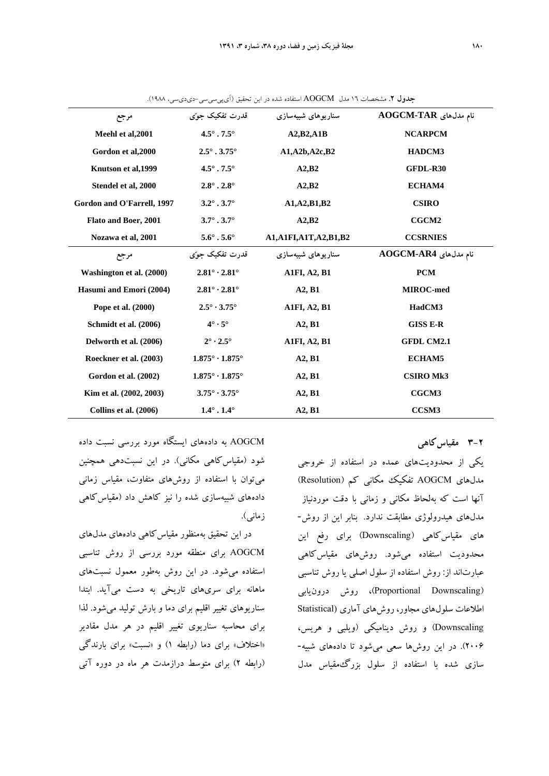| مرجع                       | قدرت تفکیک جو ّی                    | سناريوهای شبیهسازی        | نام مدلهای AOGCM-TAR |  |
|----------------------------|-------------------------------------|---------------------------|----------------------|--|
| Meehl et al, 2001          | $4.5^\circ$ . $7.5^\circ$           | A2,B2, A1B                | <b>NCARPCM</b>       |  |
| Gordon et al, 2000         | $2.5^\circ$ . 3.75 $^\circ$         | A1, A2b, A2c, B2          | HADCM3               |  |
| Knutson et al, 1999        | $4.5^{\circ}$ . 7.5 $^{\circ}$      | A2,B2                     | GFDL-R30             |  |
| Stendel et al, 2000        | $2.8^\circ$ . $2.8^\circ$           | A2,B2<br>ECHAM4           |                      |  |
| Gordon and O'Farrell, 1997 | $3.2^{\circ}$ . 3.7 $^{\circ}$      | A1, A2, B1, B2            | <b>CSIRO</b>         |  |
| Flato and Boer, 2001       | $3.7^{\circ}$ . 3.7 $^{\circ}$      | A2,B2                     | CGCM2                |  |
| Nozawa et al, 2001         | $5.6^\circ$ . $5.6^\circ$           | A1, A1FI, A1T, A2, B1, B2 | <b>CCSRNIES</b>      |  |
| مرجع                       | قدرت تفکیک جوٌی                     | سنار بو های شیبهسازی      | نام مدلهای AOGCM-AR4 |  |
| Washington et al. (2000)   | $2.81^\circ \cdot 2.81^\circ$       | <b>A1FI, A2, B1</b>       | <b>PCM</b>           |  |
| Hasumi and Emori (2004)    | $2.81^\circ \cdot 2.81^\circ$       | A2, B1                    | <b>MIROC-med</b>     |  |
| Pope et al. (2000)         | $2.5^\circ \cdot 3.75^\circ$        | <b>A1FI, A2, B1</b>       | HadCM3               |  |
| Schmidt et al. (2006)      | $4^\circ \cdot 5^\circ$             | A2, B1                    | <b>GISS E-R</b>      |  |
| Delworth et al. (2006)     | $2^{\circ} \cdot 2.5^{\circ}$       | <b>A1FI, A2, B1</b>       | <b>GFDL CM2.1</b>    |  |
| Roeckner et al. (2003)     | $1.875^\circ \cdot 1.875^\circ$     | A2, B1                    | <b>ECHAM5</b>        |  |
| Gordon et al. (2002)       | $1.875^{\circ} \cdot 1.875^{\circ}$ | A2, B1                    | <b>CSIRO Mk3</b>     |  |
| Kim et al. (2002, 2003)    | $3.75^\circ \cdot 3.75^\circ$       | A2, B1                    | CGCM3                |  |
| Collins et al. (2006)      | $1.4^{\circ}$ . $1.4^{\circ}$       | A2, B1                    | CCSM3                |  |

**جدول .2** مشخصات 16 مدل AOGCM استفاده شده در اين تحقيق (آيپيسيسي-ديديسي، 1988).

**3-2 مقياسكاهي** 

يكي از محدوديتهاي عمده در استفاده از خروجي مدلهاي AOGCM تفكيك مكاني كم (Resolution ( آنها است كه بهلحاظ مكاني و زماني با دقت موردنياز مدلهاي هيدرولوژي مطابقت ندارد. بنابر اين از روش- هاي مقياسكاهي (Downscaling (براي رفع اين محدوديت استفاده ميشود. روشهاي مقياسكاهي عبارتاند از: روش استفاده از سلول اصلي يا روش تناسبي (Downscaling Proportional(، روش درونيابي اطلاعات سلولهاي مجاور، روشهاي آماري (Statistical Downscaling (و روش ديناميكي (ويلبي و هريس، 2006). در اين روشها سعي ميشود تا دادههاي شبيه- سازي شده با استفاده از سلول بزرگمقياس مدل

AOGCM به دادههاي ايستگاه مورد بررسي نسبت داده شود (مقياسكاهي مكاني). در اين نسبتدهي همچنين ميتوان با استفاده از روشهاي متفاوت، مقياس زماني دادههاي شبيهسازي شده را نيز كاهش داد (مقياسكاهي زماني).

در اين تحقيق بهمنظور مقياس كاهي دادههاي مدلهاي AOGCM براي منطقه مورد بررسي از روش تناسبي استفاده ميشود. در اين روش بهطور معمول نسبتهاي ماهانه براي سريهاي تاريخي به دست ميآيد. ابتدا سناريوهاي تغيير اقليم براي دما و بارش توليد ميشود. لذا براي محاسبه سناريوي تغيير اقليم در هر مدل مقادير «اختلاف» براي دما (رابطه 1) و «نسبت» براي بارندگي (رابطه 2) براي متوسط درازمدت هر ماه در دوره آتي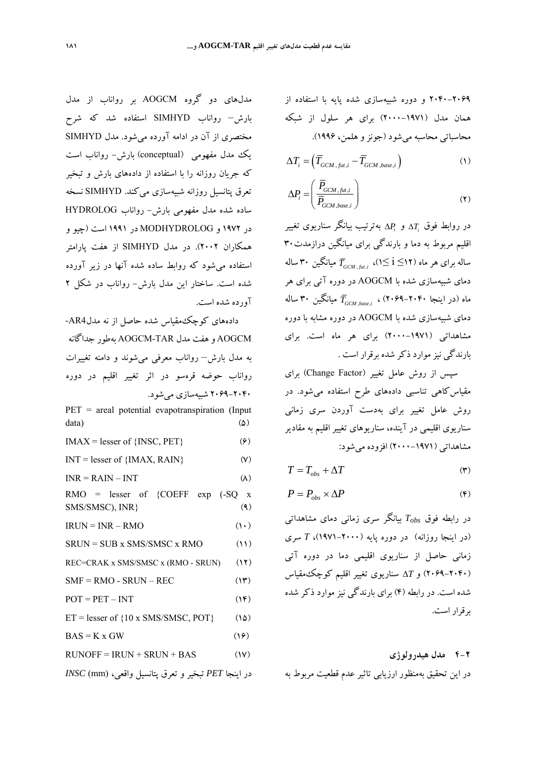2040-2069 و دوره شبيهسازي شده پايه با استفاده از همان مدل (2000-1971) براي هر سلول از شبكه محاسباتي محاسبه ميشود (جونزو هلمن، 1996).

$$
\Delta T_i = \left(\overline{T}_{GCM, fut, i} - \overline{T}_{GCM, base, i}\right) \tag{1}
$$

$$
\Delta P_i = \left(\frac{\overline{P}_{GCM, fut, i}}{\overline{P}_{GCM, base, i}}\right) \tag{7}
$$

بهترتيب بيانگر سناريوي تغيير *Pi* و *Ti* در روابط فوق اقليم مربوط به دما و بارندگي براي ميانگين درازمدت ۳۰ ساله برای هر ماه (۱۲≧ i∑۱)،  $\overline{T}_{GCM~\text{bar}~i}$  میانگین ۳۰ ساله دماي شبيهسازي شده با AOGCM در دوره آتي براي هر ماه (در اينجا ٢٠۴٠–٢٠۶۹)، , ميانگين ٣٠ ساله دماي شبيهسازي شده با AOGCM در دوره مشابه با دوره مشاهداتي (-1971 2000) براي هر ماه است. براي بارندگي نيز موارد ذكر شده برقرار است .

سپس از روش عامل تغيير (Change Factor) براي مقياسكاهي تناسبي دادههاي طرح استفاده ميشود. در روش عامل تغيير براي بهدست آوردن سري زماني سناريوي اقليمي در آينده، سناريوهاي تغيير اقليم به مقادير مشاهداتي (2000-1971) افزوده ميشود:

$$
T = T_{obs} + \Delta T \tag{7}
$$

$$
P = P_{obs} \times \Delta P \tag{6}
$$

در رابطه فوق *Tobs* بيانگر سري زماني دماي مشاهداتي (در اينجا روزانه) در دوره پايه (1971-2000)، *T* سري زماني حاصل از سناريوي اقليمي دما در دوره آتي (2069-2040) و *T* سناريوي تغيير اقليم كوچكمقياس شده است. در رابطه (4) براي بارندگي نيز موارد ذكر شده برقرار است.

## **4-2 مدل هيدرولوژي**

در اين تحقيق بهمنظور ارزيابي تاثير عدم قطعيت مربوط به

مدلهاي دو گروه AOGCM بر رواناب از مدل بارش– رواناب SIMHYD استفاده شد كه شرح مختصري از آن در ادامه آورده ميشود. مدل SIMHYD يك مدل مفهومي (conceptual (بارش- رواناب است كه جريان روزانه را با استفاده از دادههاي بارش و تبخير تعرق پتانسيل روزانه شبيهسازي ميكند. SIMHYD نسخه ساده شده مدل مفهومي بارش- رواناب HYDROLOG در 1972 و MODHYDROLOG در 1991 است (چيو و همكاران 2002). در مدل SIMHYD از هفت پارامتر استفاده ميشود كه روابط ساده شده آنها در زير آورده شده است. ساختار اين مدل بارش- رواناب در شكل 2 آورده شده است.

دادههاي كوچكمقياس شده حاصل از نه مدل4AR- AOGCM و هفت مدل TAR-AOGCM بهطور جداگانه به مدل بارش– رواناب معرفي ميشوند و دامنه تغييرات رواناب حوضه قرهسو در اثر تغيير اقليم در دوره 2069-2040 شبيهسازي ميشود. PET = areal potential evapotranspiration (Input  $data)$  ( $\triangle$ )  $IMAX = lesser of \{INSC, PET\}$  ( $\epsilon$ )  $INT = lesser of {IMAX, RAIN}$  (Y)  $INR = RAIN - INT$  (A)  $RMO =$  lesser of {COEFF exp  $(-SQ)x$  ${\rm SMS/SMSC}$ ,  ${\rm INR}$  (4)  $IRIIN = INR - RMO$  (10)  $SRUN = SUB x SMS/SMSC x RMO$  (11) REC=CRAK x SMS/SMSC x (RMO - SRUN) (12)  $SMF = RMO - SRUN - REC$  (17)  $POT = PET - INT$  (14)  $ET = lesser of {10 x SMS/SMSC, POT}$  (16)  $BAS = K \times GW$  (19)  $RUNOFF = IRUN + SRUN + BAS$  (17) در اينجا *PET* تبخير و تعرق پتانسيل واقعي، (mm (*INSC*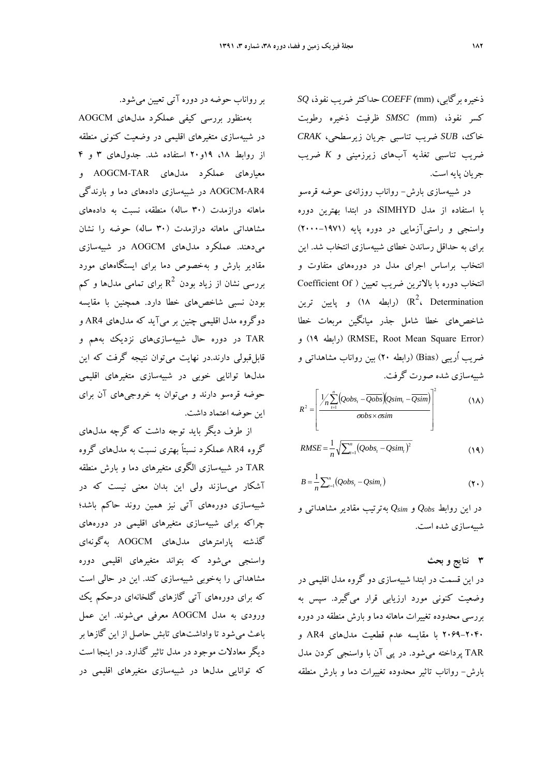ذخيره برگابي، (mm *(COEFF* حداكثر ضريب نفوذ، *SQ* كسر نفوذ، (mm *(SMSC* ظرفيت ذخيره رطوبت خاك، *SUB* ضريب تناسبي جريان زيرسطحي، *CRAK* ضريب تناسبي تغذيه آبهاي زيرزميني و *K* ضريب جريان پايه است.

در شبيهسازي بارش- رواناب روزانهي حوضه قرهسو با استفاده از مدل SIMHYD، در ابتدا بهترين دوره واسنجي و راستيآزمايي در دوره پايه (2000-1971) براي به حداقل رساندن خطاي شبيهسازي انتخاب شد. اين انتخاب براساس اجراي مدل در دورههاي متفاوت و انتخاب دوره با بالاترين ضريب تعيين ( Of Coefficient رابطه ۱۸) و پایین ترین) (R $^2$ ، Determination شاخصهاي خطا شامل جذر ميانگين مربعات خطا و) 19 رابطه) (RMSE, Root Mean Square Error) ضريب اُريبي (Bias) (رابطه 20) بين رواناب مشاهداتي و شبيهسازي شده صورت گرفت.

$$
R^{2} = \left[\frac{1}{n} \sum_{i=1}^{n} (Qobs_{i} - \overline{Qobs})(Qsim_{i} - \overline{Qsim})\right]^{2}
$$
 (1A)

$$
RMSE = \frac{1}{n} \sqrt{\sum_{t=1}^{n} (Qobs_t - Qsim_t)^2}
$$
 (19)

$$
B = \frac{1}{n} \sum_{i=1}^{n} (Qobs_i - Qsim_i)
$$
 (1)

در اين روابط *Qobs* و *Qsim* بهترتيب مقادير مشاهداتي و شبيهسازي شده است.

## **3 نتايج و بحث**

در اين قسمت در ابتدا شبيهسازي دو گروه مدل اقليمي در وضعيت كنوني مورد ارزيابي قرار ميگيرد. سپس به بررسي محدوده تغييرات ماهانه دما و بارش منطقه در دوره 2069-2040 با مقايسه عدم قطعيت مدلهاي 4AR و TAR پرداخته ميشود. در پي آن با واسنجي كردن مدل بارش- رواناب تاثير محدوده تغييرات دما و بارش منطقه

بررواناب حوضه در دوره آتي تعيين ميشود.

بهمنظور بررسي كيفي عملكرد مدلهاي AOGCM در شبيهسازي متغيرهاي اقليمي در وضعيت كنوني منطقه از روابط ،18 19و20 استفاده شد. جدولهاي 3 و 4 معيارهاي عملكرد مدلهاي TAR-AOGCM و 4AR-AOGCM در شبيهسازي دادههاي دما و بارندگي ماهانه درازمدت (30 ساله) منطقه، نسبت به دادههاي مشاهداتي ماهانه درازمدت (30 ساله) حوضه را نشان ميدهند. عملكرد مدلهاي AOGCM در شبيهسازي مقادير بارش و بهخصوص دما براي ايستگاههاي مورد بررسی نشان از زیاد بودن  $\, {\rm R}^2 \,$  برای تمامی مدلها و کم بودن نسبي شاخصهاي خطا دارد. همچنين با مقايسه دوگروه مدل اقليمي چنين بر ميآيد كه مدلهاي 4AR و TAR در دوره حال شبيهسازيهاي نزديك بههم و قابلقبولي دارند.در نهايت ميتوان نتيجه گرفت كه اين مدلها توانايي خوبي در شبيهسازي متغيرهاي اقليمي حوضه قرهسو دارند و ميتوان به خروجيهاي آن براي اين حوضه اعتماد داشت.

از طرف ديگر بايد توجه داشت كه گرچه مدلهاي گروه 4AR عملكرد نسبتاً بهتري نسبت به مدلهاي گروه TAR در شبيهسازي الگوي متغيرهاي دما و بارش منطقه آشكار ميسازند ولي اين بدان معني نيست كه در شبيهسازي دورههاي آتي نيز همين روند حاكم باشد؛ چراكه براي شبيهسازي متغيرهاي اقليمي در دورههاي گذشته پارامترهاي مدلهاي AOGCM بهگونهاي واسنجي ميشود كه بتواند متغيرهاي اقليمي دوره مشاهداتي را بهخوبي شبيهسازي كند. اين در حالي است كه براي دورههاي آتي گازهاي گلخانهاي درحكم يك ورودي به مدل AOGCM معرفي ميشوند. اين عمل باعث ميشود تا واداشتهاي تابش حاصل از اين گازها بر ديگر معادلات موجود در مدل تاثير گذارد. در اينجا است كه توانايي مدلها در شبيهسازي متغيرهاي اقليمي در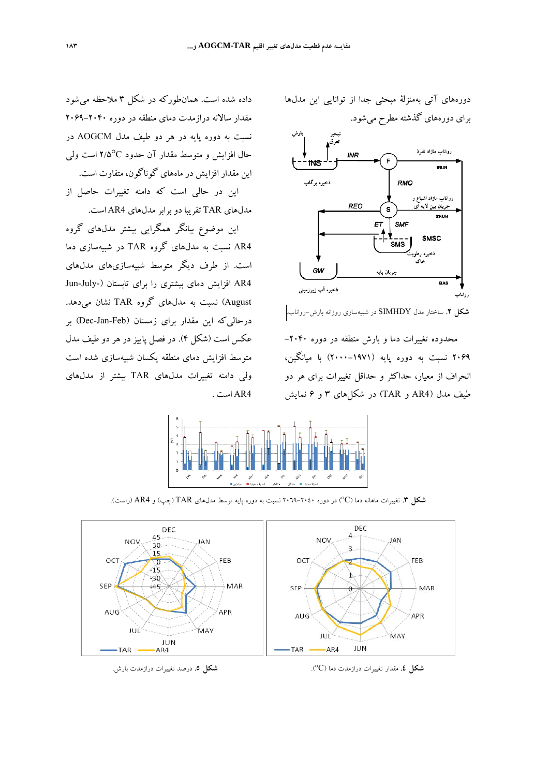دورههاي آتي بهمنزلة مبحثي جدا از توانايي اين مدلها براي دورههاي گذشته مطرح ميشود.



**شكل .2** ساختار مدل SIMHDY در شبيهسازي روزانه بارش-رواناب.

محدوده تغييرات دما و بارش منطقه در دوره -2040 2069 نسبت به دوره پايه (2000-1971) با ميانگين، انحراف از معيار، حداكثر و حداقل تغييرات براي هر دو طيف مدل (4AR و TAR (در شكلهاي 3 و 6 نمايش



4AR است .

**شكل .3** تغييرات ماهانه دما (C° (در دوره -2040 2069 نسبت به دوره پايه توسط مدلهاي TAR) چپ) و 4AR) راست).



**شكل .4** مقدار تغييرات درازمدت دما (C°(. **شكل .5** درصد تغييرات درازمدت بارش.

داده شده است. همانطوركه در شكل 3 ملاحظه ميشود

مقدار سالانه درازمدت دماي منطقه در دوره 2069-2040 نسبت به دوره پايه در هر دو طيف مدل AOGCM در

حال افزايش و متوسط مقدار آن حدود <sup>C</sup>2/5° است ولي

اين در حالي است كه دامنه تغييرات حاصل از

اين موضوع بيانگر همگرايي بيشتر مدلهاي گروه

4AR نسبت به مدلهاي گروه TAR در شبيهسازي دما

است. از طرف ديگر متوسط شبيهسازيهاي مدلهاي

4AR افزايش دماي بيشتري را براي تابستان (-July-Jun August (نسبت به مدلهاي گروه TAR نشان ميدهد.

درحاليكه اين مقدار براي زمستان (Feb-Jan-Dec (بر عكس است (شكل 4). در فصل پاييز در هر دو طيف مدل

متوسط افزايش دماي منطقه يكسان شبيهسازي شده است

ولي دامنه تغييرات مدلهاي TAR بيشتر از مدلهاي

اين مقدار افزايش در ماههاي گوناگون، متفاوت است.

مدلهاي TAR تقريبا دو برابرمدلهاي 4AR است.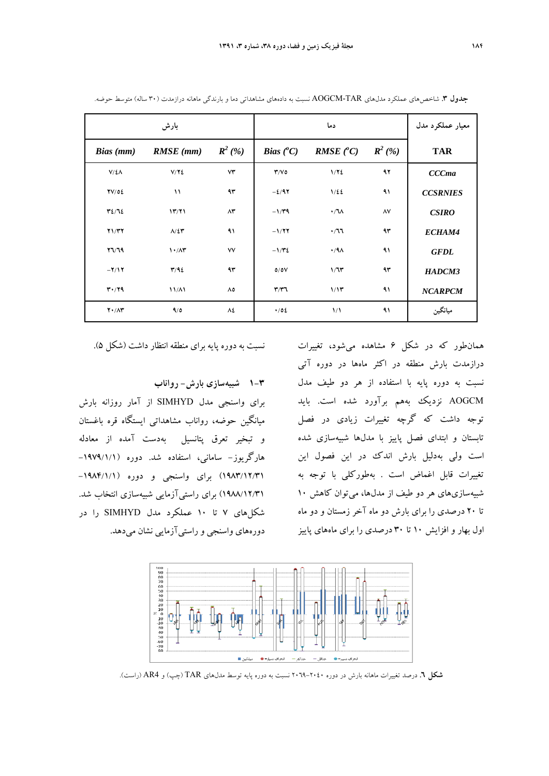|                       | بارش                            |                        |                           | دما                  |                    | معيار عملكرد مدل |
|-----------------------|---------------------------------|------------------------|---------------------------|----------------------|--------------------|------------------|
| Bias (mm)             | $RMSE$ (mm)                     | $R^2$ (%)              | <b>Bias</b> $(^{\circ}C)$ | $RMSE(^{\circ}C)$    | $\mathbf{R}^2$ (%) | <b>TAR</b>       |
| $V/\Sigma\Lambda$     | V/Y                             | $\forall \breve{\tau}$ | Y/V                       | 1/72                 | ۹۲                 | <b>CCCma</b>     |
| TV/OE                 | $\lambda$                       | ۹۳                     | $-2/97$                   | $1/\xi$              | ۹۱                 | <b>CCSRNIES</b>  |
| YZ/TZ                 | 17/71                           | $\Lambda \mathfrak{r}$ | $-1/\tau$ ۹               | $\cdot / \sqrt{2}$   | $\lambda V$        | <b>CSIRO</b>     |
| Y1/TY                 | $\Lambda/\Sigma$ ۳              | ۹۱                     | $-1/77$                   | $\cdot$ /77          | ۹۳                 | ECHAM4           |
| $YV\mathcal{R}$       | $\mathcal{N} \cdot \mathcal{N}$ | ٧V                     | $-1/\Upsilon$             | $\cdot$ /٩٨          | ۹۱                 | <b>GFDL</b>      |
| $-Y/Y$                | T/92                            | ۹۳                     | 0/0V                      | 1/7r                 | ۹۳                 | HADCM3           |
| T'/Y9                 | $11/\Lambda$                    | ٨٥                     | $\mathbf{r}/\mathbf{r}$   | 1/17                 | ۹۱                 | <b>NCARPCM</b>   |
| $Y \cdot / \Lambda Y$ | 9/0                             | ٨٤                     | $\cdot$ /02               | $\frac{1}{\sqrt{2}}$ | ۹۱                 | ميانگين          |

**جدول .3** شاخصهاي عملكرد مدلهاي TAR-AOGCM نسبت به دادههاي مشاهداتي دما و بارندگي ماهانه درازمدت (30 ساله) متوسط حوضه.

نسبت به دوره پايه براي منطقه انتظار داشت (شكل 5).

**1-3 شبيهسازي بارش- رواناب**

براي واسنجي مدل SIMHYD از آمار روزانه بارش ميانگين حوضه، رواناب مشاهداتي ايستگاه قره باغستان و تبخير تعرق پتانسيل بهدست آمده از معادله هارگريوز- ساماني، استفاده شد. دوره (-1979/1/1 1983/12/31) براي واسنجي و دوره (-1984/1/1 1988/12/31) براي راستيآزمايي شبيهسازي انتخاب شد. شكلهاي 7 تا 10 عملكرد مدل SIMHYD را در دورههاي واسنجي و راستيآزمايي نشان ميدهد.

همانطور كه در شكل 6 مشاهده ميشود، تغييرات درازمدت بارش منطقه در اكثر ماهها در دوره آتي نسبت به دوره پايه با استفاده از هر دو طيف مدل AOGCM نزديك بههم برآورد شده است. بايد توجه داشت كه گرچه تغييرات زيادي در فصل تابستان و ابتداي فصل پاييز با مدلها شبيهسازي شده است ولي بهدليل بارش اندك در اين فصول اين تغييرات قابل اغماض است . بهطوركلي با توجه به شبيهسازيهاي هر دو طيف از مدلها، ميتوان كاهش 10 تا 20 درصدي را براي بارش دو ماه آخر زمستان و دو ماه اول بهار و افزايش 10 تا 30 درصدي را براي ماههاي پاييز



**شكل .6** درصد تغييرات ماهانه بارش در دوره 2069-2040 نسبت به دوره پايه توسط مدلهاي TAR) چپ) و 4AR) راست).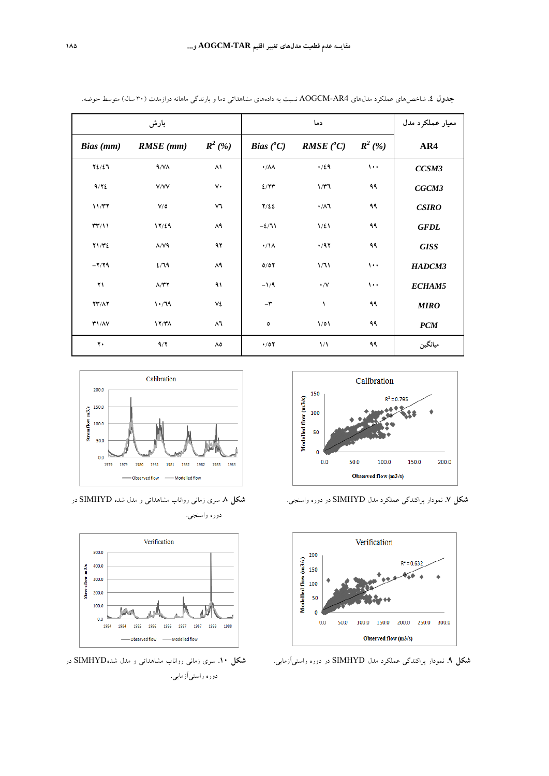|                          | بارش                       |                   |                           | دما                       |           | معيار عملكرد مدل |
|--------------------------|----------------------------|-------------------|---------------------------|---------------------------|-----------|------------------|
| Bias (mm)                | $RMSE$ (mm)                | $R^2$ (%)         | <i>Bias</i> $(^{\circ}C)$ | <b>RMSE</b> $(^{\circ}C)$ | $R^2$ (%) | AR4              |
| $Y\frac{2}{2}$           | $4/\gamma\Lambda$          | ۸۱                | $\cdot/\lambda\lambda$    | $\cdot/29$                | $\cdots$  | CCSM3            |
| 9/72                     | V/VV                       | $\mathsf{v}\cdot$ | 2/77                      | 1/T                       | ۹۹        | CGCM3            |
| 11/T7                    | $V/\delta$                 | ٧٦                | $Y/\xi$                   | $\cdot/\lambda$ ٦         | ۹۹        | CSIRO            |
| $\mathsf{TT}/\mathsf{1}$ | 17/29                      | ۸۹                | $-2/71$                   | $1/\xi$                   | ۹۹        | <b>GFDL</b>      |
| Y1/T2                    | $\Lambda/\mathrm{V}$ ٩     | ۹۲                | $\cdot/\lambda$           | $\cdot$ /97               | ۹۹        | <b>GISS</b>      |
| $-Y/Y$ ۹                 | 2/79                       | ۸۹                | 0/07                      | 1/71                      | $\cdots$  | HADCM3           |
| $\mathbf{Y}$             | $\Lambda/\Upsilon\Upsilon$ | ۹۱                | $-1/9$                    | $\cdot/\vee$              | $\cdots$  | ECHAM5           |
| $YY/\Lambda Y$           | 1.79                       | ٧٤                | $-\mathbf{r}$             | ١                         | ۹۹        | <b>MIRO</b>      |
| T1/NV                    | 17/T <sub>A</sub>          | ۸٦                | ٥                         | 1/01                      | ۹۹        | PCM              |
| ٢.                       | 9/7                        | ٨٥                | $\cdot$ /07               | $\frac{1}{\sqrt{2}}$      | ۹۹        | ميانگين          |

**جدول .4** شاخصهاي عملكرد مدلهاي 4AR-AOGCM نسبت به دادههاي مشاهداتي دما و بارندگي ماهانه درازمدت (30 ساله) متوسط حوضه.







**شكل .7** نمودار پراكندگي عملكرد مدل SIMHYD در دوره واسنجي. **شكل .8** سري زماني رواناب مشاهداتي و مدل شده SIMHYD در دوره واسنجي.



**شكل .9** نمودار پراكندگي عملكرد مدل SIMHYD در دوره راستيآزمايي. **شكل .10** سري زماني رواناب مشاهداتي و مدل شدهSIMHYD در دوره راستيآزمايي.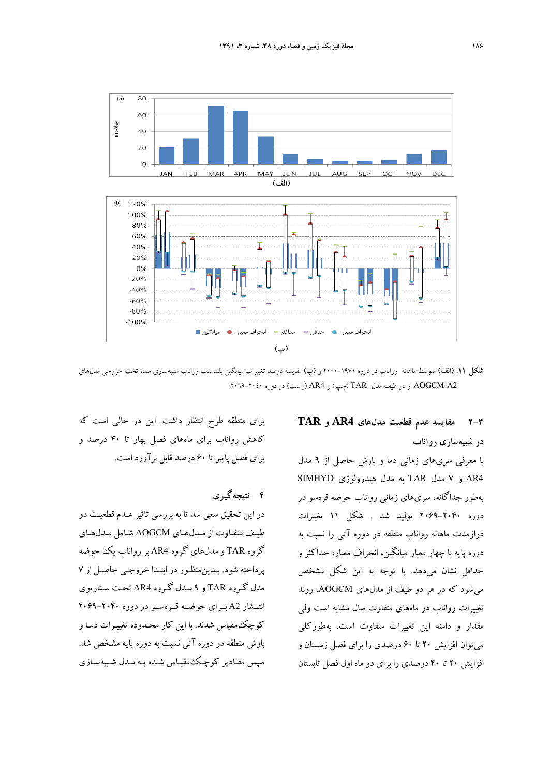

**شكل .11 (الف)** متوسط ماهانه رواناب در دوره 2000-1971 و **(ب)** مقايسه درصد تغييرات ميانگين بلندمدت رواناب شبيهسازي شده تحت خروجي مدلهاي 2A-AOGCM از دو طيف مدل TAR) چپ) و 4AR) راست) در دوره -2040 .2069

# **2-3 مقايسه عدم قطعيت مدلهاي 4AR و TAR در شبيهسازي رواناب**

با معرفي سريهاي زماني دما و بارش حاصل از 9 مدل 4AR و 7 مدل TAR به مدل هيدرولوژي SIMHYD بهطور جداگانه، سريهاي زماني رواناب حوضه قرهسو در دوره 2069-2040 توليد شد . شكل 11 تغييرات درازمدت ماهانه رواناب منطقه در دوره آتي را نسبت به دوره پايه با چهار معيار ميانگين، انحراف معيار، حداكثر و حداقل نشان ميدهد. با توجه به اين شكل مشخص ميشود كه در هر دو طيف از مدلهاي AOGCM، روند تغييرات رواناب در ماههاي متفاوت سال مشابه است ولي مقدار و دامنه اين تغييرات متفاوت است. بهطوركلي ميتوان افزايش 20 تا 60 درصدي را براي فصل زمستان و افزايش 20 تا 40 درصدي را براي دو ماه اول فصل تابستان

براي منطقه طرح انتظار داشت. اين در حالي است كه كاهش رواناب براي ماههاي فصل بهار تا 40 درصد و براي فصل پاييرتا 60 درصد قابل برآورد است.

**4 نتيجهگيري** 

در اين تحقيق سعي شد تا به بررسي تاثير عـدم قطعيـت دو طيـف متفـاوت از مـدلهـاي AOGCM شـامل مـدلهـاي گروه TAR و مدلهاي گروه 4AR بررواناب يك حوضه پرداخته شود. بـدين منظـور در ابتـدا خروجـي حاصـل از 7 مدل گـروه TAR و 9 مـدل گـروه 4AR تحـت سـناريوي انتــشار 2A بــراي حوضــه قــرهســو در دوره 2069-2040 كوچكمقياس شدند. با اين كار محـدوده تغييـرات دمـا و بارش منطقه در دوره آتي نسبت به دوره پايه مشخص شد . سپس مقـادير كوچـك مقيـاس شـده بـه مـدل شـبيه سـازي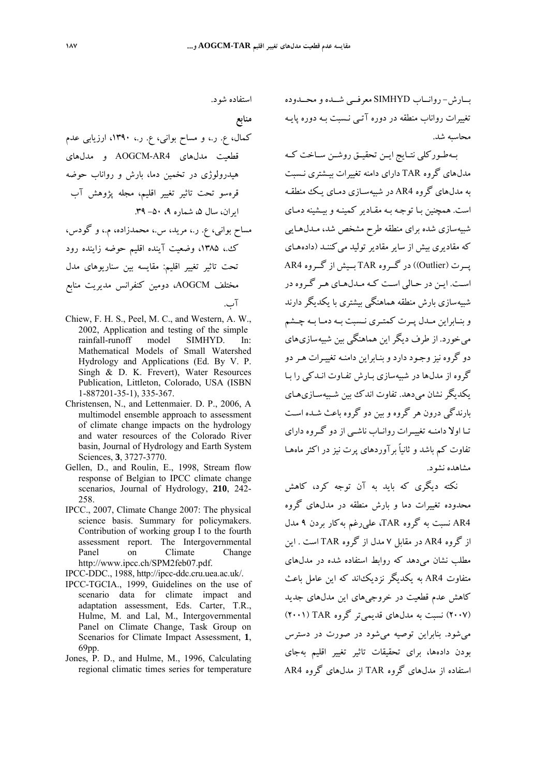بــارش- روانــاب SIMHYD معرفــي شــده و محــدوده تغييرات رواناب منطقه در دوره آتـي نـسبت بـه دوره پايـه محاسبه شد.

بــهطــوركلي نتــايج ايــن تحقيــق روشــن ســاخت كــه مدلهاي گروه TAR داراي دامنه تغييرات بيـشتري نـسبت به مدلهاي گروه 4AR در شبيهسـازي دمـاي يـك منطقـه است. همچنين بـا توجـه بـه مقـادير كمينـه و بيـشينه دمـاي شبيهسازي شده براي منطقه طرح مشخص شد، مـدل هـايي كه مقاديري بيش از ساير مقادير توليد مي كننـد (دادههـاي پــرت (Outlier ((در گــروه TAR بــيش از گــروه 4AR اسـت. ايـن در حـالي اسـت كـه مـدلهـاي هـر گـروه در شبيهسازي بارش منطقه هماهنگي بيشتري با يكديگر دارند و بنــابراين مــدل پــرت كمتــري نــسبت بــه دمــا بــه چــشم مي خورد. از طرف ديگر اين هماهنگي بين شبيه سازي هاي دو گروه نيز وجـود دارد وبنـابر اين دامنـه تغييـرات هـردو گروه از مدلها در شبيهسازي بـارش تفـاوت انـدكي را بـا يكديگر نشان ميدهد. تفاوت اندك بين شـبيه سـازيهـاي بارندگي درون هر گروه و بين دو گروه باعث شـده اسـت تـا اولا دامنـه تغييــرات روانـاب ناشـي از دو گــروه داراي تفاوت كم باشد و ثانياً برآورد هاي پرت نيز در اكثر ماه هـا مشاهده نشود.

نكته ديگري كه بايد به آن توجه كرد، كاهش محدوده تغييرات دما و بارش منطقه در مدلهاي گروه 4AR نسبت به گروه TAR، عليرغم بهكار بردن 9 مدل از گروه 4AR در مقابل 7 مدل از گروه TAR است . اين مطلب نشان ميدهد كه روابط استفاده شده در مدلهاي متفاوت 4AR به يكديگر نزديكاند كه اين عامل باعث كاهش عدم قطعيت در خروجيهاي اين مدلهاي جديد (2007) نسبت به مدلهاي قديميتر گروه TAR) 2001 ( ميشود. بنابراين توصيه ميشود در صورت در دسترس بودن دادهها، براي تحقيقات تاثير تغيير اقليم بهجاي استفاده از مدلهاي گروه TAR از مدلهاي گروه 4AR

استفاده شود.

**منابع** 

كمال، ع. ر،. و مساح بواني، ع. ر،. ،1390 ارزيابي عدم قطعيت مدلهاي 4AR-AOGCM و مدلهاي هيدرولوژي در تخمين دما، بارش و رواناب حوضه قرهسو تحت تاثير تغيير اقليم، مجله پژوهش آب ايران، سال ،5 شماره ،9 -50 .39 مساح بواني، ع. ر،. مريد، س،. محمدزاده، م،. و گودس، ك،. ،1385 وضعيت آينده اقليم حوضه زاينده رود تحت تاثير تغيير اقليم: مقايسه بين سناريوهاي مدل مختلف AOGCM، دومين كنفرانس مديريت منابع

آب.

- Chiew, F. H. S., Peel, M. C., and Western, A. W., 2002, Application and testing of the simple rainfall-runoff model SIMHYD. In: Mathematical Models of Small Watershed Hydrology and Applications (Ed. By V. P. Singh & D. K. Frevert), Water Resources Publication, Littleton, Colorado, USA (ISBN 1-887201-35-1), 335-367.
- Christensen, N., and Lettenmaier. D. P., 2006, A multimodel ensemble approach to assessment of climate change impacts on the hydrology and water resources of the Colorado River basin, Journal of Hydrology and Earth System Sciences, **3**, 3727-3770.
- Gellen, D., and Roulin, E., 1998, Stream flow response of Belgian to IPCC climate change scenarios, Journal of Hydrology, **210**, 242- 258.
- IPCC., 2007, Climate Change 2007: The physical science basis. Summary for policymakers. Contribution of working group I to the fourth assessment report. The Intergovernmental Panel on Climate Change http://www.ipcc.ch/SPM2feb07.pdf.
- IPCC-DDC., 1988, http://ipcc-ddc.cru.uea.ac.uk/.
- IPCC-TGCIA., 1999, Guidelines on the use of scenario data for climate impact and adaptation assessment, Eds. Carter, T.R., Hulme, M. and Lal, M., Intergovernmental Panel on Climate Change, Task Group on Scenarios for Climate Impact Assessment, **1**, 69pp.
- Jones, P. D., and Hulme, M., 1996, Calculating regional climatic times series for temperature